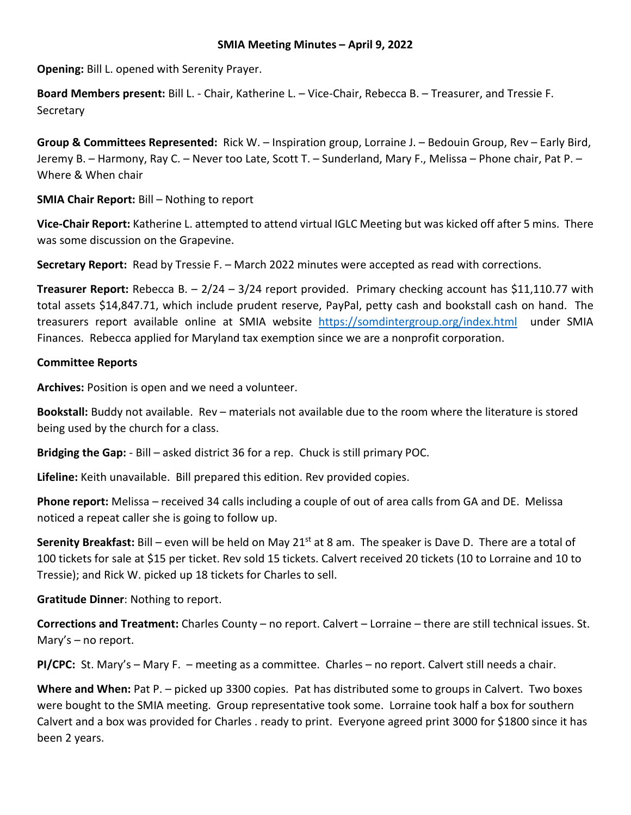## **SMIA Meeting Minutes – April 9, 2022**

**Opening:** Bill L. opened with Serenity Prayer.

**Board Members present:** Bill L. - Chair, Katherine L. – Vice-Chair, Rebecca B. – Treasurer, and Tressie F. **Secretary** 

**Group & Committees Represented:** Rick W. – Inspiration group, Lorraine J. – Bedouin Group, Rev – Early Bird, Jeremy B. – Harmony, Ray C. – Never too Late, Scott T. – Sunderland, Mary F., Melissa – Phone chair, Pat P. – Where & When chair

**SMIA Chair Report:** Bill – Nothing to report

**Vice-Chair Report:** Katherine L. attempted to attend virtual IGLC Meeting but was kicked off after 5 mins. There was some discussion on the Grapevine.

**Secretary Report:** Read by Tressie F. – March 2022 minutes were accepted as read with corrections.

**Treasurer Report:** Rebecca B. – 2/24 – 3/24 report provided. Primary checking account has \$11,110.77 with total assets \$14,847.71, which include prudent reserve, PayPal, petty cash and bookstall cash on hand. The treasurers report available online at SMIA website <https://somdintergroup.org/index.html>under SMIA Finances. Rebecca applied for Maryland tax exemption since we are a nonprofit corporation.

# **Committee Reports**

**Archives:** Position is open and we need a volunteer.

**Bookstall:** Buddy not available. Rev – materials not available due to the room where the literature is stored being used by the church for a class.

**Bridging the Gap:** - Bill – asked district 36 for a rep. Chuck is still primary POC.

**Lifeline:** Keith unavailable. Bill prepared this edition. Rev provided copies.

**Phone report:** Melissa – received 34 calls including a couple of out of area calls from GA and DE. Melissa noticed a repeat caller she is going to follow up.

**Serenity Breakfast:** Bill – even will be held on May 21<sup>st</sup> at 8 am. The speaker is Dave D. There are a total of 100 tickets for sale at \$15 per ticket. Rev sold 15 tickets. Calvert received 20 tickets (10 to Lorraine and 10 to Tressie); and Rick W. picked up 18 tickets for Charles to sell.

**Gratitude Dinner**: Nothing to report.

**Corrections and Treatment:** Charles County – no report. Calvert – Lorraine – there are still technical issues. St. Mary's – no report.

**PI/CPC:** St. Mary's – Mary F. – meeting as a committee. Charles – no report. Calvert still needs a chair.

**Where and When:** Pat P. – picked up 3300 copies. Pat has distributed some to groups in Calvert. Two boxes were bought to the SMIA meeting. Group representative took some. Lorraine took half a box for southern Calvert and a box was provided for Charles . ready to print. Everyone agreed print 3000 for \$1800 since it has been 2 years.